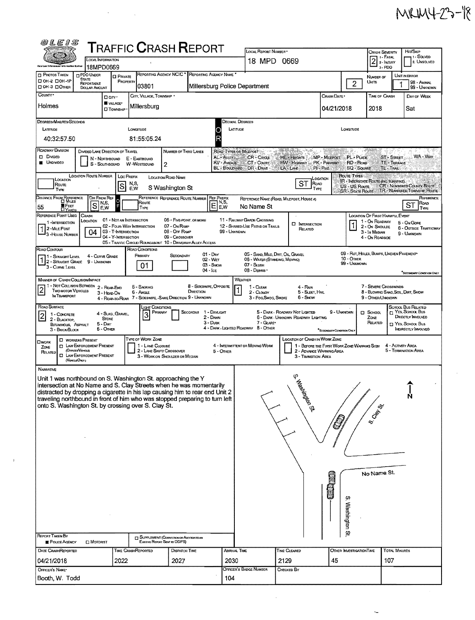|  | MRM4-23-18 |  |  |
|--|------------|--|--|
|--|------------|--|--|

 $\mathcal{A}^{\text{out}}$ 

| 0LEIS                                                                                                                                                       |                                                                       |                                            |                                                        |                                                                                     |                                  |                                                     |                                                                   |                                                                         |                                |                                      |                                                         |                      |                                                             |  |  |
|-------------------------------------------------------------------------------------------------------------------------------------------------------------|-----------------------------------------------------------------------|--------------------------------------------|--------------------------------------------------------|-------------------------------------------------------------------------------------|----------------------------------|-----------------------------------------------------|-------------------------------------------------------------------|-------------------------------------------------------------------------|--------------------------------|--------------------------------------|---------------------------------------------------------|----------------------|-------------------------------------------------------------|--|--|
| <b>T</b> RAFFIC <b>C</b> RASH <b>R</b> EPORT<br>LOCAL INFORMATION                                                                                           |                                                                       |                                            |                                                        |                                                                                     |                                  |                                                     | LOCAL REPORT NUMBER .<br>18 MPD 0669                              |                                                                         |                                | Crash Severity<br>1 - Fatal          |                                                         | HIT/SKIP<br>i Solved |                                                             |  |  |
| ühis Law Enterssment lotermalies Aratus                                                                                                                     | 18MPD0669                                                             |                                            |                                                        |                                                                                     |                                  |                                                     |                                                                   |                                                                         |                                |                                      | 2- INJURY<br>3-PDO                                      |                      | 2. UNSOLVED                                                 |  |  |
| <b>D</b> PHOTOS TAKEN<br>□ ОН-2 □ ОН-1Р                                                                                                                     | <b>DPDO UNDER</b><br>STATE<br>REPORTABLE                              | <b>D</b> PRIVATE<br>PROPERTY               |                                                        | REPORTING AGENCY NCIC <sup>*</sup> REPORTING AGENCY NAME                            |                                  |                                                     |                                                                   |                                                                         |                                | $\overline{2}$                       | NUMBER OF<br>Units                                      |                      | UNIT IN ERROR<br>98 - Animal                                |  |  |
| DOK-3 DOMER<br>COUNTY *                                                                                                                                     | <b>DOLLAR AMOUNT</b>                                                  |                                            | 03801                                                  |                                                                                     |                                  |                                                     | Millersburg Police Department                                     |                                                                         |                                |                                      |                                                         |                      | 99 - UNKNOWN                                                |  |  |
| Holmes                                                                                                                                                      | Dan <sup>.</sup>                                                      | VILLAGE*                                   | CITY, VILLAGE, TOWNSHIP                                |                                                                                     |                                  |                                                     |                                                                   |                                                                         | Crash Date *                   |                                      | TIME OF CRASH                                           |                      | DAY OF WEEK                                                 |  |  |
|                                                                                                                                                             |                                                                       | <b>CI TOWNSHIP</b>                         | Millersburg                                            |                                                                                     |                                  |                                                     |                                                                   |                                                                         | 04/21/2018                     |                                      | 2018                                                    |                      | Sat                                                         |  |  |
| <b>DEGREES/MINUTES/SECONDS</b>                                                                                                                              |                                                                       |                                            |                                                        |                                                                                     |                                  |                                                     | <b>DECIMAL DEGREES</b>                                            |                                                                         |                                |                                      |                                                         |                      |                                                             |  |  |
| LATTUDE<br>40:32:57.50                                                                                                                                      |                                                                       |                                            | LONGITUDE<br>81:55:05.24                               |                                                                                     |                                  | LATITUDE                                            |                                                                   |                                                                         |                                | LONGITUDE                            |                                                         |                      |                                                             |  |  |
| ROADWAY DIVISION                                                                                                                                            | DIVIDED LANE DIRECTION OF TRAVEL                                      |                                            |                                                        |                                                                                     |                                  |                                                     |                                                                   | en tratisko (* 198                                                      |                                |                                      |                                                         |                      |                                                             |  |  |
| <b>D</b> DIMDED<br><b>UNDIVIDED</b>                                                                                                                         | N - NORTHBOUND                                                        |                                            | E - EASTBOUND                                          | NUMBER OF THRU LANES                                                                |                                  | AL-ALLEY                                            | ROAD TYPES OR MILEPOST<br>CR-Cincle                               | HE - Heights                                                            | <b>MP - MILEPOST</b>           | <b>PL-PLACE</b>                      |                                                         | <b>ST-STREET</b>     | WA - Way                                                    |  |  |
|                                                                                                                                                             | S - SOUTHBOUND                                                        |                                            | W-WESTBOUND                                            | 2                                                                                   |                                  | AV - AVENUE                                         | CT-Court<br>BL - BOULEVARD DR - DRIVE -                           | HW - Highway<br>LA LANE                                                 | <b>PK - PARKWAY</b><br>PI-PIKE | RD - Road<br><b>SQ - SOUARE</b>      | TL - TRAIL                                              | <b>TE-TERRACE</b>    |                                                             |  |  |
| Location<br>Route                                                                                                                                           | <b>LOCATION ROUTE NUMBER</b>                                          | <b>Loc PREFIX</b>                          | N,S,                                                   | LOCATION ROAD NAME                                                                  |                                  |                                                     |                                                                   | <b>ST</b> FORD                                                          | CCATION                        | ROUTE TYPES                          | IR - INTERSTATE ROUTE (INC. TURNPIKE).                  |                      |                                                             |  |  |
| TYPE                                                                                                                                                        |                                                                       | lS                                         | E,W                                                    | S Washington St                                                                     |                                  |                                                     |                                                                   | TYPE                                                                    |                                | US-US Route<br><b>SR-STATE ROUTE</b> |                                                         |                      | CR - NUMBERED COUNTY ROUTE.<br>TR - NUMBERED TOWNSHIP ROUTE |  |  |
| <b>DISTANCE FROM REFERENCE</b><br>FEET<br>55                                                                                                                | DIR FROM REF<br>N,S,<br><sub>S</sub><br>E,W                           | $\circ$                                    | Route                                                  | REFERENCE REFERENCE ROUTE NUMBER                                                    | <b>REF PREFIX</b>                | $\overline{\mathsf{E}}_{\mathsf{E,W}}^{\text{N,S}}$ | No Name St                                                        | REFERENCE NAME (ROAD, MILEPOST, HOUSE 4)                                |                                |                                      |                                                         |                      | REFERENCE<br>Roap<br>ST                                     |  |  |
| <b>DYARDS</b><br>REFERENCE POINT USED                                                                                                                       | CRASH                                                                 |                                            | TYPE                                                   |                                                                                     |                                  |                                                     |                                                                   |                                                                         |                                |                                      | <b>LOCATION OF FIRST HARMFUL EVENT</b>                  |                      | TYPE                                                        |  |  |
| 1-INTERSECTION<br>12-Mile Post                                                                                                                              | LOCATION                                                              |                                            | 01 - NOT AN INTERSECTION<br>02 - Four-Way Intersection | 06 - FIVE-POINT, OR MORE<br>07 - On RAMP                                            |                                  |                                                     | 11 - RAILWAY GRADE CROSSING<br>12 - SHARED USE PATHS OR TRAILS    | <b>C INTERSECTION</b><br>RELATED                                        |                                | 1                                    | 1 - On ROADWAY<br>2 - ON SHOULDE                        |                      | 5 - On Gone<br>6 - OUTSIDE TRAFFICWAY                       |  |  |
| 3-HOUSE NUMBER                                                                                                                                              | 04                                                                    | 03 - T-INTERSECTION<br>04 - Y-INTERSECTION |                                                        | 08 - Off Ramp<br>09 - CROSSOVER                                                     |                                  | 99 - Unknown                                        |                                                                   |                                                                         |                                |                                      | 3 - In Median<br>4 - On ROADSIDE                        |                      | 9 - Unknown                                                 |  |  |
| ROAD CONTOUR                                                                                                                                                |                                                                       |                                            | ROAD CONDITIONS                                        | 05 - TRAFFIC CIRCLE/ ROUNDABOUT 10 - DRIVEWAY/ ALLEY ACCESS                         |                                  |                                                     |                                                                   |                                                                         |                                |                                      |                                                         |                      |                                                             |  |  |
| 1 - Straight Level<br>1 2 - Straight Grade                                                                                                                  | 4 - CURVE GRADE<br>9 - Unknown                                        |                                            | Frimary                                                | SECONDARY                                                                           | $01 - \text{Drv}$<br>02 - WET    |                                                     | 05 - SAND, MUD, DIRT, OIL GRAVEL<br>06 - WATER (STANDING, MOVING) |                                                                         |                                | 10 - OTHER<br>99 - Unknown           | 09 - Rut, HOLES, BUMPS, UNEVEN PAVEMENT*                |                      |                                                             |  |  |
| 3 - Curve Level                                                                                                                                             |                                                                       |                                            | 01                                                     |                                                                                     | 03 - Snow<br>$04 - i c \epsilon$ |                                                     | 07 - SLUSH<br>08 - DEBRIS .                                       |                                                                         |                                |                                      |                                                         |                      | <sup>*</sup> SECONDARY CONDITION ONLY                       |  |  |
| <b>MANNER OF CRASH COLLISION/IMPACT</b><br>1 - NOT COLUSION BETWEEN 2 - REAR-END                                                                            |                                                                       |                                            | 5 - BACKING                                            |                                                                                     | 8 - Sideswipe, Opposite          |                                                     | WEATHER                                                           |                                                                         |                                |                                      | 7 - SEVERE CROSSWINDS                                   |                      |                                                             |  |  |
| <b>TWO MOTOR VEHICLES</b><br>IN TRANSPORT                                                                                                                   | 3 - HEAD-ON                                                           |                                            | 6 - Angle                                              | 4 - REAR-TO-REAR 7 - SIDESWIPE, -SAME DIRECTION 9 - UNKNOWN                         | DIRECTION                        |                                                     | 1 - Clear<br>2 - CLoupy<br>3 - Fog Smog, Smoke                    | 4 - Rain<br>5 - SLEET, HAIL<br>6 - Snow                                 |                                |                                      | 8 - Blowing Sand, Soll, Dirt, Snow<br>9 - OTHER/UNKNOWN |                      |                                                             |  |  |
| ROAD SURFACE                                                                                                                                                |                                                                       |                                            | ught Conditions.                                       |                                                                                     |                                  |                                                     |                                                                   |                                                                         |                                |                                      |                                                         |                      | School Bus Related                                          |  |  |
| 1 - CONCRETE<br>2 - BLACKTOP.                                                                                                                               | <b>STONE</b>                                                          | 4 - Slag , Gravel,                         | 3                                                      | <b>SECONDAR</b><br>PRIMARY                                                          | 1 - DAYLIGHT<br>2 - Dawn         |                                                     |                                                                   | 5 - DARK - ROADWAY NOT LIGHTED<br>6 - Dark - Unknown Roadway Lighting   | 9 - Unknown                    |                                      | $\Box$ SCHOOL<br>ZONE                                   |                      | T YES, SCHOOL Bus<br>DIRECTLY INVOLVED                      |  |  |
| BITUMINOUS, ASPHALT<br>3 - BRICK/BLOCK                                                                                                                      | $5 - DIRT$<br>6 - Other                                               |                                            |                                                        |                                                                                     | $3 - D$ usk                      |                                                     | 7 - GLARE*<br>4 - DARK - LIGHTED ROADWAY 8 - OTHER                |                                                                         | SECONDARY CONDITION ONLY       |                                      | RELATED                                                 |                      | T YES, SCHOOL BUS<br><b>INDIRECTLY INVOLVED</b>             |  |  |
| <b>D</b> WORKERS PRESENT<br><b>OWORK</b>                                                                                                                    |                                                                       |                                            | TYPE OF WORK ZONE                                      |                                                                                     |                                  |                                                     |                                                                   | <b>LOCATION OF CRASH IN WORK ZONE</b>                                   |                                |                                      |                                                         |                      |                                                             |  |  |
| ZONE<br>(OFFICERVENCLE)<br>RELATED                                                                                                                          | <b>D</b> LAW ENFORCEMENT PRESENT<br><b>CI LAW ENFORCEMENT PRESENT</b> |                                            | 1 - LANE CLOSURE                                       | 2 - LANE SHIFT/ CROSSOVER                                                           |                                  | 5 - Onier                                           | 4 - INTERMITTENT OR MOVING WORK                                   | 1 - BEFORE THE FIRST WORK ZONE WARNING SIGN<br>2 - Advance Warning Area |                                |                                      |                                                         | 4 - ACTIVITY AREA    | 5 - TERMINATION AREA                                        |  |  |
| (VENCLEONLY)                                                                                                                                                |                                                                       |                                            |                                                        | 3 - WORK ON SHOULDER OR MEDIAN                                                      |                                  |                                                     |                                                                   | 3 - Transition Area                                                     |                                |                                      |                                                         |                      |                                                             |  |  |
| NARRATIVE                                                                                                                                                   |                                                                       |                                            |                                                        |                                                                                     |                                  |                                                     |                                                                   |                                                                         |                                |                                      |                                                         |                      |                                                             |  |  |
| Unit 1 was northbound on S. Washington St. approaching the Y<br>intersection at No Name and S. Clay Streets when he was momentarily                         |                                                                       |                                            |                                                        |                                                                                     |                                  |                                                     |                                                                   | $\frac{1}{2}$                                                           |                                |                                      |                                                         |                      |                                                             |  |  |
| distracted by dropping a cigarette in his lap causing him to rear end Unit 2<br>traveling northbound in front of him who was stopped preparing to turn left |                                                                       |                                            |                                                        |                                                                                     |                                  |                                                     |                                                                   | <b>BRINGSON</b> ST                                                      |                                |                                      |                                                         |                      | N,                                                          |  |  |
| onto S. Washington St. by crossing over S. Clay St.                                                                                                         |                                                                       |                                            |                                                        |                                                                                     |                                  |                                                     |                                                                   |                                                                         |                                |                                      | <b>S. Clays</b>                                         |                      |                                                             |  |  |
|                                                                                                                                                             |                                                                       |                                            |                                                        |                                                                                     |                                  |                                                     |                                                                   |                                                                         |                                |                                      |                                                         |                      |                                                             |  |  |
|                                                                                                                                                             |                                                                       |                                            |                                                        |                                                                                     |                                  |                                                     |                                                                   |                                                                         |                                |                                      |                                                         |                      |                                                             |  |  |
|                                                                                                                                                             |                                                                       |                                            |                                                        |                                                                                     |                                  |                                                     |                                                                   |                                                                         |                                |                                      |                                                         |                      |                                                             |  |  |
|                                                                                                                                                             |                                                                       |                                            |                                                        |                                                                                     |                                  |                                                     |                                                                   |                                                                         |                                |                                      |                                                         |                      |                                                             |  |  |
|                                                                                                                                                             |                                                                       |                                            |                                                        |                                                                                     |                                  |                                                     |                                                                   |                                                                         |                                |                                      |                                                         |                      |                                                             |  |  |
|                                                                                                                                                             |                                                                       |                                            |                                                        |                                                                                     |                                  | No Name St.                                         |                                                                   |                                                                         |                                |                                      |                                                         |                      |                                                             |  |  |
|                                                                                                                                                             |                                                                       |                                            |                                                        |                                                                                     |                                  | Ő                                                   |                                                                   |                                                                         |                                |                                      |                                                         |                      |                                                             |  |  |
|                                                                                                                                                             |                                                                       |                                            |                                                        |                                                                                     |                                  | ġ,                                                  |                                                                   |                                                                         |                                |                                      |                                                         |                      |                                                             |  |  |
|                                                                                                                                                             |                                                                       |                                            |                                                        |                                                                                     |                                  | Washington St                                       |                                                                   |                                                                         |                                |                                      |                                                         |                      |                                                             |  |  |
|                                                                                                                                                             |                                                                       |                                            |                                                        |                                                                                     |                                  |                                                     |                                                                   |                                                                         |                                |                                      |                                                         |                      |                                                             |  |  |
| <b>REPORT TAKEN BY</b>                                                                                                                                      |                                                                       |                                            |                                                        |                                                                                     |                                  |                                                     |                                                                   |                                                                         |                                |                                      |                                                         |                      |                                                             |  |  |
| POLICE AGENCY                                                                                                                                               | <b>D</b> MOTORIST                                                     |                                            |                                                        | <b>TT SUPPLEMENT (CORRECTION OR ADDITION TO AN</b><br>Existing Report Sent to ODPS) |                                  |                                                     |                                                                   |                                                                         |                                |                                      |                                                         |                      |                                                             |  |  |
| DATE CRASHREPORTED                                                                                                                                          |                                                                       |                                            | TIME CRASHREPORTED                                     | DISPATCH TIME                                                                       |                                  | ARRIVAL TIME                                        |                                                                   | TIME CLEARED                                                            |                                | OTHER INVESTIGATION TIME             |                                                         | <b>TOTAL MINUTES</b> |                                                             |  |  |
| 04/21/2018<br>OFFICER'S NAME*                                                                                                                               |                                                                       | 2022                                       |                                                        | 2027                                                                                |                                  | 2030                                                | OFFICER'S BADGE NUMBER                                            | 2129<br>CHECKED BY                                                      | 45                             |                                      | 107                                                     |                      |                                                             |  |  |
| Booth, W. Todd                                                                                                                                              |                                                                       |                                            |                                                        |                                                                                     |                                  | 104                                                 |                                                                   |                                                                         |                                |                                      |                                                         |                      |                                                             |  |  |
|                                                                                                                                                             |                                                                       |                                            |                                                        |                                                                                     |                                  |                                                     |                                                                   |                                                                         |                                |                                      |                                                         |                      |                                                             |  |  |

 $\label{eq:2.1} \frac{d\mathbf{r}}{dt} = \frac{1}{2} \left( \frac{d\mathbf{r}}{dt} + \frac{d\mathbf{r}}{dt} \right)$ 

 $\bar{\tau}$ 

 $\mathbb{Z}^2$ 

 $\label{eq:2.1} \mathcal{L}(\mathcal{A}) = \mathcal{L}(\mathcal{A}) \otimes \mathcal{L}(\mathcal{A})$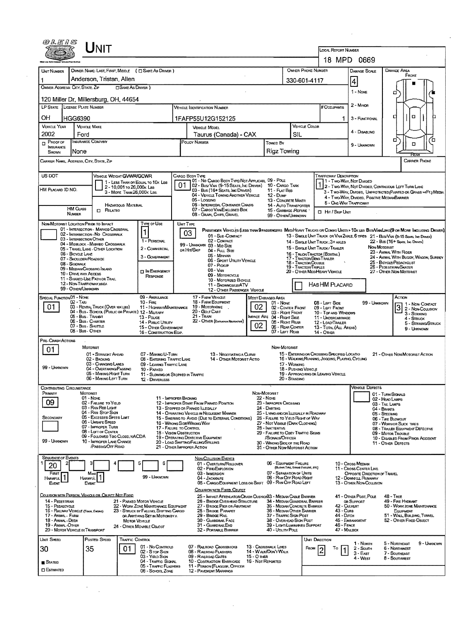|                                                              |                                                           | <b>NIT</b>                                                                            |                                                                                |                              |                                                                                                                                            |                                    |                                                                            |                                             |                                                                     | <b>LOCAL REPORT NUMBER</b><br>18 MPD 0669                                                                                 |                 |                                                    |                                                                       |             |
|--------------------------------------------------------------|-----------------------------------------------------------|---------------------------------------------------------------------------------------|--------------------------------------------------------------------------------|------------------------------|--------------------------------------------------------------------------------------------------------------------------------------------|------------------------------------|----------------------------------------------------------------------------|---------------------------------------------|---------------------------------------------------------------------|---------------------------------------------------------------------------------------------------------------------------|-----------------|----------------------------------------------------|-----------------------------------------------------------------------|-------------|
| UNIT NUMBER                                                  |                                                           | OWNER NAME: LAST, FIRST, MIDDLE ( C) SAME AS DRIVER )                                 |                                                                                |                              |                                                                                                                                            |                                    |                                                                            | OWNER PHONE NUMBER                          |                                                                     | <b>DAMAGE SCALE</b>                                                                                                       |                 | DAMAGE AREA                                        |                                                                       |             |
|                                                              |                                                           | Anderson, Tristan, Allen                                                              |                                                                                |                              |                                                                                                                                            |                                    |                                                                            | 330-601-4117                                |                                                                     | 4                                                                                                                         |                 |                                                    | FRONT                                                                 |             |
| <b>CISAME AS DRIVER</b> )<br>OWNER ADDRESS: CITY, STATE, ZIP |                                                           |                                                                                       |                                                                                |                              |                                                                                                                                            |                                    |                                                                            |                                             |                                                                     | 1 - NONE                                                                                                                  |                 |                                                    |                                                                       |             |
|                                                              |                                                           | 120 Miller Dr. Millersburg, OH, 44654                                                 |                                                                                |                              |                                                                                                                                            |                                    |                                                                            |                                             |                                                                     |                                                                                                                           |                 | □                                                  |                                                                       |             |
| LP STATE LICENSE PLATE NUMBER                                |                                                           |                                                                                       |                                                                                |                              | VEHICLE IDENTIFICATION NUMBER                                                                                                              |                                    |                                                                            |                                             | # Occupants                                                         | $2 -$ MINOR                                                                                                               |                 |                                                    |                                                                       |             |
| OH                                                           | HGG6390                                                   |                                                                                       |                                                                                | 1FAFP55U12G152125            |                                                                                                                                            |                                    |                                                                            |                                             |                                                                     | 1<br>3 - FUNCTIONAL                                                                                                       |                 |                                                    | α                                                                     |             |
| <b>VEHICLE YEAR</b><br><b>VEHICLE MAKE</b>                   |                                                           |                                                                                       |                                                                                |                              | VEHICLE COLOR<br>VEHICLE MODEL                                                                                                             |                                    |                                                                            |                                             |                                                                     |                                                                                                                           |                 |                                                    |                                                                       |             |
| 2002                                                         | Ford                                                      |                                                                                       |                                                                                | Taurus (Canada) - CAX<br>SIL |                                                                                                                                            |                                    |                                                                            |                                             |                                                                     | 4 - DISABLING                                                                                                             |                 |                                                    |                                                                       |             |
| $P_{\text{ROOFOF}}$<br>INSURANCE                             | <b>NSURANCE COMPANY</b>                                   |                                                                                       |                                                                                |                              | POLICY NUMBER                                                                                                                              |                                    | Towed By                                                                   |                                             |                                                                     | 9 - Unknown                                                                                                               |                 | σ                                                  | o                                                                     | Έ           |
| Shown                                                        | None                                                      |                                                                                       |                                                                                |                              |                                                                                                                                            |                                    | Rigz Towing                                                                |                                             |                                                                     |                                                                                                                           |                 |                                                    |                                                                       |             |
| Carrier Name, Address, City, State, Zip                      |                                                           |                                                                                       |                                                                                |                              |                                                                                                                                            |                                    |                                                                            |                                             |                                                                     |                                                                                                                           |                 |                                                    | CARRIER PHONE                                                         |             |
| US DOT                                                       |                                                           |                                                                                       |                                                                                |                              |                                                                                                                                            |                                    |                                                                            |                                             | <b>TRAFFICWAY DESCRIPTION</b>                                       |                                                                                                                           |                 |                                                    |                                                                       |             |
|                                                              |                                                           | VEHICLE WEIGHT GVWR/GCWR                                                              | 1 - LESS THAN OR EQUAL TO 10K LBS                                              |                              | Cargo Body Type<br>01 - No CARGO BODY TYPE/NOT APPLICABL 09 - POLE                                                                         |                                    |                                                                            |                                             |                                                                     | 1 - Two-Way, Not Divided                                                                                                  |                 |                                                    |                                                                       |             |
| HM PLACARD ID NO.                                            |                                                           | 2 - 10,001 то 26,000к Las<br>3 - MORE THAN 26,000K LBS.                               |                                                                                | 01.                          | 02 - Bus/VAN (9-15 SEATS, INC DRIVER) 10 CARGO TANK<br>03 - Bus (16+ Seats, Inc Driver)                                                    |                                    | 11 - FLAT BED                                                              |                                             |                                                                     | 12 - Two-Way, Not Divideo, Continuous Left Turn Lane<br>3 - T WO-WAY, DIVIDEO, UNPROTECTED (PAINTED OR GRASS > FT.) MEDIA |                 |                                                    |                                                                       |             |
|                                                              |                                                           |                                                                                       |                                                                                |                              | 04 - VEHICLE TOWING ANOTHER VEHICLE<br>05 - Logging                                                                                        |                                    | <b>12 - Duwe</b><br>13 - CONCRETE MIXER                                    |                                             |                                                                     | 4 - Two-Way, Divided, Positive MedianBarrier<br>5 - ONE-WAY TRAFFICWAY                                                    |                 |                                                    |                                                                       |             |
|                                                              | <b>HM CLASS</b>                                           | <b>HAZARDOUS MATERIAL</b><br>$\Box$ Related                                           |                                                                                |                              | 06 - INTERMODAL CONTAINER CHASIS<br>07 - CARGO VAN ENCLOSED BOX                                                                            |                                    | 14 - AUTO TRANSPORTER<br>15 - GARBAGE /REFUSE                              |                                             | <b>D</b> Hit / Skip Unit                                            |                                                                                                                           |                 |                                                    |                                                                       |             |
|                                                              | <b>NUMBER</b>                                             |                                                                                       |                                                                                |                              | 08 - GRAIN, CHIPS, GRAVEL                                                                                                                  |                                    | 99 - OTHER/UNKNOWN                                                         |                                             |                                                                     |                                                                                                                           |                 |                                                    |                                                                       |             |
| NON-MOTORIST LOCATION PRIOR TO IMPACT                        |                                                           | 01 - INTERSECTION - MARKED CROSSWAL                                                   | Type of Use<br>$\vert$ 1                                                       |                              | UNIT TYPE<br>PASSENGER VEHICLES (LESS THAN 9 PASSENGERS MEDIHEAVY TRUCKS OR COMBO UNITS > 10K LES BUS/VAN/LIMO(9 OR MORE INCLUDING DRIVER) |                                    |                                                                            |                                             |                                                                     |                                                                                                                           |                 |                                                    |                                                                       |             |
|                                                              | 03 - INTERSECTION OTHER                                   | 02 - INTERSECTION - NO CROSSWALK                                                      | 1 - PERSONAL                                                                   |                              | 03<br>01 - Sub-COMPACT<br>02 - COMPACT                                                                                                     |                                    |                                                                            |                                             |                                                                     | 13 - SINGLE UNIT TRUCK OR VAN ZAXLE, 6 TIRES 21 - BUS/VAN (9-15 SEATS, INC DRIVER)                                        |                 |                                                    |                                                                       |             |
|                                                              |                                                           | 04 - MIDBLOCK - MARKEO CROSSWALK<br>05 - TRAVEL LANE - OTHER LOCATION                 | 2 - COMMERCIAL                                                                 |                              | 99 - UNKNOWN 03 - MID SIZE<br>OR HIT/SKIP<br>04 - Full Size                                                                                |                                    |                                                                            |                                             | 14 - SINGLE UNIT TRUCK; 3+ AXLES<br>15 - SINGLE UNIT TRUCK/ TRAILER |                                                                                                                           | NON-MOTORIST    |                                                    | 22 - Bus (16+ Sexts, Inc Driven)                                      |             |
|                                                              | 06 - BICYCLE LANE<br>07 - Shoulder/Roadside               |                                                                                       | 3 - GOVERNMENT                                                                 |                              | 05 - Munrvan<br>06 - SPORT UTILITY VEHICLE                                                                                                 |                                    |                                                                            |                                             | 16 - TRUCK/TRACTOR (BOBTAIL)<br>17 - TRACTOR/SEMI-TRAILER           |                                                                                                                           |                 | 23 - AMMAL WITH RIDER                              | 24 - ANIMAL WITH BUGGY, WAGON, SURREY                                 |             |
|                                                              | 08 - Sidewalk<br>09 - MEDIAN CROSSING ISLAND              |                                                                                       |                                                                                |                              | 07 - Pickup                                                                                                                                |                                    |                                                                            | 18 - TRACTOR/DOUBLE<br>19 - TRACTOR/TRIPLES |                                                                     |                                                                                                                           |                 | 25 - BICYCLE/PEDACYCLIST<br>26 - PEDESTRIAN/SKATER |                                                                       |             |
|                                                              | 10 - DRIVE WAY ACCESS                                     |                                                                                       | <b>D</b> IN EMERGENCY<br>Response                                              |                              | $08 - V_{AN}$<br>09 - MOTORCYCLE                                                                                                           |                                    |                                                                            |                                             | 20 - OTHER MEO/HEAVY VEHICLE                                        |                                                                                                                           |                 | 27 - Other Non-Motorist                            |                                                                       |             |
|                                                              |                                                           |                                                                                       |                                                                                |                              |                                                                                                                                            |                                    |                                                                            |                                             |                                                                     |                                                                                                                           |                 |                                                    |                                                                       |             |
|                                                              | 11 - SHARED-USE PATH OR TRAIL<br>12 - NON-TRAFFICWAY AREA |                                                                                       |                                                                                |                              | 10 - MOTORIZED BICYCLE<br>11 - SNOWMOBILE/ATV                                                                                              |                                    |                                                                            |                                             | HASHM PLACARD                                                       |                                                                                                                           |                 |                                                    |                                                                       |             |
|                                                              | 99 - OTHER/UNKNOWN                                        |                                                                                       |                                                                                |                              | 12 - OTHER PASSENGER VEHICLE                                                                                                               |                                    |                                                                            |                                             |                                                                     |                                                                                                                           |                 |                                                    |                                                                       |             |
| SPECIAL FUNCTION01 - NOME                                    | 02 - Taxi                                                 |                                                                                       | 09 - AMBULANCE<br>10 - FIRE                                                    |                              | 17 - FARM VEHICLE<br>18 - FARM EOUIPMENT                                                                                                   |                                    | MOST DAMAGEO AREA<br>01 - None                                             |                                             | 08 - LEFT SIDE                                                      |                                                                                                                           | 99 - UNKNOWN    | ACTION                                             | 1 - NON-CONTACT                                                       |             |
| 01                                                           |                                                           | 03 - RENTAL TRUCK (OVER 10KLBS)<br>04 - Bus - School (Public or Private) 12 - Maltary | 11 - HIGHWAY/MAINTENANCE                                                       |                              | 19 - MOTORHOME<br>20 - GOLF CART                                                                                                           | 02                                 | 02 - CENTER FRONT<br>03 - Right Front                                      |                                             | 09 - LEFT FRONT<br>10 - TOP AND WINDOWS                             |                                                                                                                           |                 |                                                    | 2 - Non-Couusion<br>$3 -$ Striking                                    |             |
|                                                              | 05 - Bus - Transit<br>06 - Bus - Charter                  |                                                                                       | 13 - Pouce<br>14 - Pueuc Uniury                                                |                              | 21 - TRAIN<br>22 - OTHER (EXPLANIR NASRATIVE)                                                                                              |                                    | MPACT ARE 04 - RIGHT SIDE<br>05 - Right REAR                               |                                             | 11 - UNDERCARRIAGE<br>12 - LOAD/TRAILER                             |                                                                                                                           |                 |                                                    | 4 - Struck<br>5 - Striking/Struck                                     |             |
|                                                              | 07 - Bus - Shuttle<br>08 - Bus OTHER                      |                                                                                       | 15 - OTHER GOVERNMENT<br>16 - CONSTRUCTION EDIP.                               |                              |                                                                                                                                            | 02                                 | 06 - REAR CENTER<br>07 - LEFT REAR                                         |                                             | 13 - TOTAL (ALL AREAS)<br><b>14 - OTHER</b>                         |                                                                                                                           |                 |                                                    | 9 - UNXNOWN                                                           |             |
| PRE-CRASH ACTIONS                                            |                                                           |                                                                                       |                                                                                |                              |                                                                                                                                            |                                    |                                                                            |                                             |                                                                     |                                                                                                                           |                 |                                                    |                                                                       |             |
| 01                                                           | MOTORIST                                                  |                                                                                       |                                                                                |                              |                                                                                                                                            |                                    | NON-MOTORIST                                                               |                                             |                                                                     |                                                                                                                           |                 |                                                    |                                                                       |             |
|                                                              |                                                           | 01 - STRAIGHT AHEAD<br>02 - BACKING                                                   | 07 - MAKING U-TURN<br>08 - ENTERING TRAFFIC LANE                               |                              | 13 - NEGOTIATING A CURVE<br>14 - OTHER MOTORIST ACTIO                                                                                      |                                    |                                                                            |                                             | 15 - ENTERING OR CROSSING SPECIFIED LOCATIO                         | 16 - WALKING, RUNNING, JOGGING, PLAYING, CYCLING                                                                          |                 |                                                    | 21 - OTHER NON-MOTORIST ACTION                                        |             |
| 99 - UNKNOWN                                                 |                                                           | 03 - CHANGING LANES<br>04 - OVERTAKING PASSING                                        | 09 - LEAVING TRAFFIC LANE<br>10 - PARKED                                       |                              |                                                                                                                                            |                                    | 17 - WORKING                                                               | 18 - Pushing Venicle                        |                                                                     |                                                                                                                           |                 |                                                    |                                                                       |             |
|                                                              |                                                           | 05 - MAKING RIGHT TURN<br>06 - MAKING LEFT TURN                                       | 11 - SLOWING OR STOPPED IN TRAFFIC<br>12 - DRIVERLESS                          |                              |                                                                                                                                            |                                    | 20 - STANDING                                                              |                                             | 19 - APPROACHING OR LEAVING VEHICLE                                 |                                                                                                                           |                 |                                                    |                                                                       |             |
| CONTRIBUTING CIRCUMSTANCE                                    |                                                           |                                                                                       |                                                                                |                              |                                                                                                                                            |                                    |                                                                            |                                             |                                                                     |                                                                                                                           | VEHICLE DEFECTS |                                                    |                                                                       |             |
| PRIMARY                                                      | <b>MOTORIST</b><br>01 - None                              |                                                                                       | 11 - IMPROPER BACKING                                                          |                              |                                                                                                                                            |                                    | NON-MOTORIST<br>22 - NONE                                                  |                                             |                                                                     |                                                                                                                           |                 | 01 - TURN SIGNALS<br>02 - HEAD LAMPS               |                                                                       |             |
| 09                                                           |                                                           | 02 - FAILURE TO YIELD<br>03 - RAN RED LIGHT                                           |                                                                                |                              | 12 - IMPROPER START FROM PARKED POSITION<br>13 - Stopped or Parked ILLEGALLY                                                               |                                    | 23 - IMPROPER CROSSING<br>$24 -$ DARTING                                   |                                             |                                                                     |                                                                                                                           |                 | 03 - TAIL LAMPS<br>04 - BRAKES                     |                                                                       |             |
| SECONDARY                                                    |                                                           | 04 - RAN STOP SIGN<br>05 - Exceenen Speen Limit                                       |                                                                                |                              | 14 - OPERATING VEHICLE IN NEGLIGENT MANNER<br>15 - Swering to Avoid (Due to External Conditions)                                           |                                    | 25 - LYING AND/OR LLEGALLY IN ROADWAY<br>26 - FALURE TO YIELD RIGHT OF WAY |                                             |                                                                     |                                                                                                                           |                 | 05 - STEERING<br>06 - TIRE BLOWOUT                 |                                                                       |             |
|                                                              |                                                           | 06 - UNSAFE SPEED<br>07 - IMPROPER TURN                                               | 17 - FALURE TO CONTROL                                                         |                              | 16 - WRONG SIDE/WRONG WAY                                                                                                                  |                                    | 27 - NOT VISIBLE (DARK CLOTHING)<br>28 - INATTENTIVE                       |                                             |                                                                     |                                                                                                                           |                 | 07 - WORN OR SLICK TIRES                           |                                                                       |             |
|                                                              |                                                           | 08 - LEFT OF CENTER<br>09 - FOLLOWED TOO CLOSELY/ACDA                                 | <b>18 - VISION OBSTRUCTION</b>                                                 |                              | 19 - OPERATING DEFECTIVE EQUIPMENT                                                                                                         |                                    | 29 - FAILURE TO OBEY TRAFFIC SIGNS<br>/SIGNALS/OFFICER                     |                                             |                                                                     |                                                                                                                           |                 | 09 - MOTOR TROUBLE                                 | 08 - TRAILER EQUIPMENT DEFECTIVE<br>10 - DISABLED FROM PRIOR ACCIDENT |             |
| 99 - UNKNOWN                                                 |                                                           | 10 - IMPROPER LANE CHANGE<br><b>PASSING OFF ROAD</b>                                  |                                                                                |                              | 20 - LOAD SHIFTING/FALLING/SPILLING<br>21 - OTHER IMPROPER ACTION                                                                          |                                    | 30 - WRONG SIDE OF THE ROAD<br>31 - OTHER NON-MOTORIST ACTION              |                                             |                                                                     |                                                                                                                           |                 | 11 - OTHER DEFECTS                                 |                                                                       |             |
|                                                              |                                                           |                                                                                       |                                                                                |                              |                                                                                                                                            |                                    |                                                                            |                                             |                                                                     |                                                                                                                           |                 |                                                    |                                                                       |             |
| <b>SEQUENCE OF EVENTS</b>                                    |                                                           |                                                                                       | 5<br>6                                                                         |                              | NON-COLLISION EVENTS<br>01 - OVERTURN/ROLLOVER                                                                                             |                                    | 06 - EQUIPMENT FAILURE                                                     | (BLOWN TIRE, BRAKE FAILURE, ETC)            |                                                                     | 10 - Cross Median                                                                                                         |                 |                                                    |                                                                       |             |
| 20<br>FIRST                                                  | Most                                                      |                                                                                       |                                                                                |                              | 02 - FIRE/EXPLOSION<br>03 - IMMERSION                                                                                                      |                                    | 07 - SEPARATION OF UNITS                                                   |                                             |                                                                     | 11 - Cross Center Line<br>OPPOSITE DIRECTION OF TRAVEL                                                                    |                 |                                                    |                                                                       |             |
| HARMFUL <sup>1</sup><br>Event                                | <b>HARMFUL</b><br>Event                                   | $\vert$ 1                                                                             | 99 - Unknown                                                                   |                              | 04 - JACKKNIFE<br>05 - CARGO/EQUIPMENT LOSS OR SHIFT 09 - RAN OFF ROAD LEFT                                                                |                                    | 08 - RAN OFF ROAD RIGHT                                                    |                                             |                                                                     | 12 - DOWNNILL RUNAWAY<br>13 - OTHER NON-COLLISION                                                                         |                 |                                                    |                                                                       |             |
|                                                              |                                                           |                                                                                       |                                                                                |                              | COLLISION WITH FIXED, OBJECT                                                                                                               |                                    |                                                                            |                                             |                                                                     |                                                                                                                           |                 |                                                    |                                                                       |             |
| 14 - PEDESTRIAN                                              |                                                           | COLLISION WITH PERSON, VEHICLE OR OBJECT NOT FIXED                                    | 21 - PARKED MOTOR VEHICLE                                                      |                              | 25 - IMPACT ATTENUATOR/CRASH CUSHON33 - MEDIAN CABLE BARRIER<br>26 - BRIDGE OVERHEAD STRUCTURE                                             |                                    | 34 - MEDIAN GUARDRAIL BARRIER                                              |                                             |                                                                     | 41 - OTHER POST, POLE<br>OR SUPPORT                                                                                       |                 | 48 - TREE<br>49 - FIRE HYDRANT                     |                                                                       |             |
| 15 - PEDALCYCLE                                              | 16 - RAILWAY VEHICLE (TRAIN, ENGINE)                      |                                                                                       | 22 - WORK ZONE MAINTENANCE EQUIPMENT<br>23 - STRUCK BY FALLING, SHIFTING CARGO |                              | 27 - BRIDGE PIER OR ABUTMENT<br>28 - BRIDGE PARAPET                                                                                        |                                    | 35 - MEDIAN CONCRETE BARRIER<br>36 - MEDIAN OTHER BARRIER                  |                                             |                                                                     | 42 - CULVERT<br>43 - Cuna                                                                                                 |                 |                                                    | 50 - WORK ZONE MAINTENANCE<br>EQUIPMENT                               |             |
| 17 - Animal - Farm<br>18 - Annal - Deer                      |                                                           |                                                                                       | OR ANYTHING SET IN MOTION BY A<br><b>MOTOR VEHICLE</b>                         |                              | 29 - Brudge Rail<br>30 - GUARDRAIL FACE                                                                                                    |                                    | 37 - TRAFFIC SIGN POST<br>38 - Overhead Sign Post                          |                                             |                                                                     | 44 - Олсн<br>45 - Embankment                                                                                              |                 |                                                    | 51 - WALL BUILDING, TUNNEL<br>52 - OTHER FIXED OBJECT                 |             |
| 19 - ANIMAL OTHER                                            | 20 - MOTOR VEHICLE IN TRANSPORT                           |                                                                                       | 24 - Other Movare Caject                                                       |                              | 31 - GUARDRAILEND<br>32 - PORTABLE BARRIER                                                                                                 |                                    | 39 - LIGHT/LUMINARIES SUPPORT<br>40 - UTILITY POLE                         |                                             |                                                                     | 46 - FENCE<br>47 - MAILBOX                                                                                                |                 |                                                    |                                                                       |             |
| Unit Speed                                                   |                                                           | <b>TRAFFIC CONTROL</b><br>POSTED SPEED                                                |                                                                                |                              |                                                                                                                                            |                                    |                                                                            |                                             | UNIT DIRECTION                                                      |                                                                                                                           |                 |                                                    |                                                                       |             |
| 30                                                           | 35                                                        | 01                                                                                    | 01 - No Controus                                                               |                              | 07 - RAILROAD CROSSBUCKS                                                                                                                   |                                    | 13 - CROSSWALK LINES                                                       | FROM                                        | То                                                                  | 1 - North<br>1<br>2 - South                                                                                               |                 | 5 - NORTHEAST<br>6 - Northwest                     |                                                                       | 9 - UNKNOWN |
| STATED                                                       |                                                           |                                                                                       | 02 - Stop Sign<br>03 - YIELD SIGN<br>04 - TRAFFIC SIGNAL                       |                              | 08 - RAILROAD FLASHERS<br>09 - RALROAD GATES<br><b>10 - COSTRUCTION BARRICADE</b>                                                          | $15 - O$ THER<br>16 - Not REPORTED | 14 - WALK/DON'T WALK                                                       |                                             |                                                                     | 3 - East<br>4 - WEST                                                                                                      |                 | 7 - SOUTHEAST<br>8 - Southwest                     |                                                                       |             |

 $\label{eq:2.1} \frac{1}{\sqrt{2\pi}}\int_{\mathbb{R}^3}\frac{d\mu}{\sqrt{2\pi}}\left(\frac{d\mu}{\mu}\right)^2\frac{d\mu}{\sqrt{2\pi}}\int_{\mathbb{R}^3}\frac{d\mu}{\sqrt{2\pi}}\frac{d\mu}{\sqrt{2\pi}}\frac{d\mu}{\sqrt{2\pi}}\frac{d\mu}{\sqrt{2\pi}}\frac{d\mu}{\sqrt{2\pi}}\frac{d\mu}{\sqrt{2\pi}}\frac{d\mu}{\sqrt{2\pi}}\frac{d\mu}{\sqrt{2\pi}}\frac{d\mu}{\sqrt{2\pi}}\frac{d\mu}{\$ 

 $\label{eq:2} \frac{1}{2}\sum_{i=1}^n\frac{1}{2}\sum_{j=1}^n\frac{1}{2}\sum_{j=1}^n\frac{1}{2}\sum_{j=1}^n\frac{1}{2}\sum_{j=1}^n\frac{1}{2}\sum_{j=1}^n\frac{1}{2}\sum_{j=1}^n\frac{1}{2}\sum_{j=1}^n\frac{1}{2}\sum_{j=1}^n\frac{1}{2}\sum_{j=1}^n\frac{1}{2}\sum_{j=1}^n\frac{1}{2}\sum_{j=1}^n\frac{1}{2}\sum_{j=1}^n\frac{1}{2}\sum_{j=1}^n\frac{$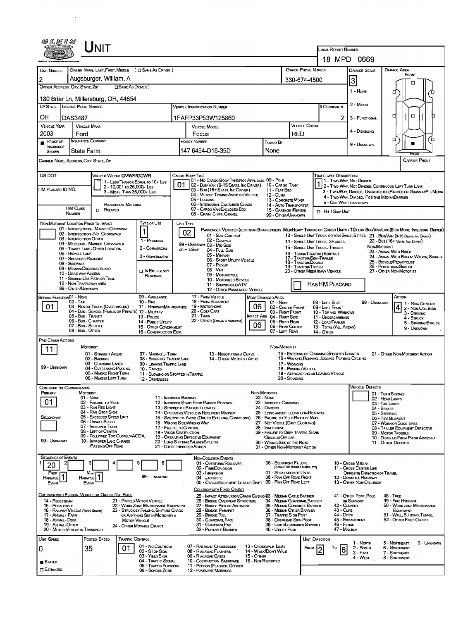|                                                                                                       | JNIT                                                                                                                                                                                                                                                                                                                                                                |                                                                                                                                                                            |                                                                                                                                                                                                                                                                                                                                |                                                                                                                                                                                                                                                                                                                           |                                                                                                                                                        | <b>LOCAL REPORT NUMBER</b>                                                                                                                             |                                                                                                                                  |                                                                                                                                                                                                                                                                                                                                                                                                                              |
|-------------------------------------------------------------------------------------------------------|---------------------------------------------------------------------------------------------------------------------------------------------------------------------------------------------------------------------------------------------------------------------------------------------------------------------------------------------------------------------|----------------------------------------------------------------------------------------------------------------------------------------------------------------------------|--------------------------------------------------------------------------------------------------------------------------------------------------------------------------------------------------------------------------------------------------------------------------------------------------------------------------------|---------------------------------------------------------------------------------------------------------------------------------------------------------------------------------------------------------------------------------------------------------------------------------------------------------------------------|--------------------------------------------------------------------------------------------------------------------------------------------------------|--------------------------------------------------------------------------------------------------------------------------------------------------------|----------------------------------------------------------------------------------------------------------------------------------|------------------------------------------------------------------------------------------------------------------------------------------------------------------------------------------------------------------------------------------------------------------------------------------------------------------------------------------------------------------------------------------------------------------------------|
|                                                                                                       |                                                                                                                                                                                                                                                                                                                                                                     |                                                                                                                                                                            |                                                                                                                                                                                                                                                                                                                                |                                                                                                                                                                                                                                                                                                                           |                                                                                                                                                        |                                                                                                                                                        | 18 MPD 0669                                                                                                                      |                                                                                                                                                                                                                                                                                                                                                                                                                              |
| <b>UNIT NUMBER</b>                                                                                    | OWNER NAME: LAST, FIRST, MIDDLE ( C SAME AS DRIVER )                                                                                                                                                                                                                                                                                                                |                                                                                                                                                                            |                                                                                                                                                                                                                                                                                                                                |                                                                                                                                                                                                                                                                                                                           | OWNER PHONE NUMBER                                                                                                                                     |                                                                                                                                                        | <b>DAMAGE SCALE</b>                                                                                                              | <b>DAMAGE AREA</b><br>FRONT                                                                                                                                                                                                                                                                                                                                                                                                  |
|                                                                                                       | Augsburger, William, A                                                                                                                                                                                                                                                                                                                                              |                                                                                                                                                                            |                                                                                                                                                                                                                                                                                                                                |                                                                                                                                                                                                                                                                                                                           | 330-674-4500                                                                                                                                           | 3                                                                                                                                                      | О                                                                                                                                |                                                                                                                                                                                                                                                                                                                                                                                                                              |
| OWNER ADDRESS: CITY, STATE, ZIP                                                                       | <b>CISAME AS DRIVER</b> )                                                                                                                                                                                                                                                                                                                                           |                                                                                                                                                                            |                                                                                                                                                                                                                                                                                                                                |                                                                                                                                                                                                                                                                                                                           |                                                                                                                                                        |                                                                                                                                                        | 1 - None                                                                                                                         |                                                                                                                                                                                                                                                                                                                                                                                                                              |
|                                                                                                       | 180 Briar Ln, Millersburg, OH, 44654                                                                                                                                                                                                                                                                                                                                |                                                                                                                                                                            |                                                                                                                                                                                                                                                                                                                                |                                                                                                                                                                                                                                                                                                                           |                                                                                                                                                        |                                                                                                                                                        |                                                                                                                                  | о<br>∼                                                                                                                                                                                                                                                                                                                                                                                                                       |
| LP STATE LICENSE PLATE NUMBER                                                                         |                                                                                                                                                                                                                                                                                                                                                                     |                                                                                                                                                                            | <b>VEHICLE IDENTIFICATION NUMBER</b>                                                                                                                                                                                                                                                                                           |                                                                                                                                                                                                                                                                                                                           |                                                                                                                                                        | # Occupants                                                                                                                                            | 2 - MINOR                                                                                                                        |                                                                                                                                                                                                                                                                                                                                                                                                                              |
| OН                                                                                                    | <b>DAS3487</b>                                                                                                                                                                                                                                                                                                                                                      |                                                                                                                                                                            | 1FAFP33P53W125860                                                                                                                                                                                                                                                                                                              |                                                                                                                                                                                                                                                                                                                           |                                                                                                                                                        | 2                                                                                                                                                      | 3 - FUNCTIONAL                                                                                                                   | $\Box$<br>d<br>п                                                                                                                                                                                                                                                                                                                                                                                                             |
| <b>VEHICLE YEAR</b>                                                                                   | <b>VEHICLE MAKE</b>                                                                                                                                                                                                                                                                                                                                                 |                                                                                                                                                                            | <b>VEHICLE MODEL</b>                                                                                                                                                                                                                                                                                                           |                                                                                                                                                                                                                                                                                                                           | <b>VEHICLE COLOR</b>                                                                                                                                   |                                                                                                                                                        |                                                                                                                                  |                                                                                                                                                                                                                                                                                                                                                                                                                              |
| 2003                                                                                                  | Ford                                                                                                                                                                                                                                                                                                                                                                |                                                                                                                                                                            | Focus                                                                                                                                                                                                                                                                                                                          |                                                                                                                                                                                                                                                                                                                           | <b>RED</b>                                                                                                                                             |                                                                                                                                                        | 4 - DISABLING                                                                                                                    |                                                                                                                                                                                                                                                                                                                                                                                                                              |
| PROOF OF<br><b>INSURANCE</b>                                                                          | Insurance Company                                                                                                                                                                                                                                                                                                                                                   |                                                                                                                                                                            | POLICY NUMBER                                                                                                                                                                                                                                                                                                                  | <b>Towed By</b>                                                                                                                                                                                                                                                                                                           |                                                                                                                                                        |                                                                                                                                                        | 9 - Unknown                                                                                                                      | Έ<br>о                                                                                                                                                                                                                                                                                                                                                                                                                       |
| SHOWN                                                                                                 | State Farm                                                                                                                                                                                                                                                                                                                                                          |                                                                                                                                                                            | 147 6454-D16-35D                                                                                                                                                                                                                                                                                                               | None                                                                                                                                                                                                                                                                                                                      |                                                                                                                                                        |                                                                                                                                                        |                                                                                                                                  |                                                                                                                                                                                                                                                                                                                                                                                                                              |
|                                                                                                       | CARRIER NAME, ADDRESS, CITY, STATE, ZIP                                                                                                                                                                                                                                                                                                                             |                                                                                                                                                                            |                                                                                                                                                                                                                                                                                                                                |                                                                                                                                                                                                                                                                                                                           |                                                                                                                                                        |                                                                                                                                                        |                                                                                                                                  | <b>CARRIER PHONE</b>                                                                                                                                                                                                                                                                                                                                                                                                         |
|                                                                                                       |                                                                                                                                                                                                                                                                                                                                                                     |                                                                                                                                                                            |                                                                                                                                                                                                                                                                                                                                |                                                                                                                                                                                                                                                                                                                           |                                                                                                                                                        |                                                                                                                                                        |                                                                                                                                  |                                                                                                                                                                                                                                                                                                                                                                                                                              |
| US DOT<br>HM PLACARD ID NO.                                                                           | VEHICLE WEIGHT GVWR/GCWR<br>1 - LESS THAN OR EQUAL TO 10K LBS<br>2 - 10.001 To 26.000 K Las<br>3 - MORE THAN 26,000K LBS.<br><b>HAZARDOUS MATERIAL</b><br><b>HM CLASS</b><br>$\Box$ Related<br>NUMBER                                                                                                                                                               |                                                                                                                                                                            | Cargo Body Type<br>01 - No CARGO BODY TYPE/NOT APPLICABL 09 - POLE<br>01.<br>02 - Bus/ Van (9-15 Seats, Inc Driver) 10 - Cargo Tank<br>03 - Bus (16+ Seats, Inc Driver)<br>04 - VEHICLE TOWING ANOTHER VEHICLE<br>05 - Loccing<br>06 - INTERMODAL CONTAINER CHASIS<br>07 - CARGO VAN/ENCLOSED BOX<br>08 - GRAIN, CHIPS, GRAVEL | 11 - FLAT BED<br><b>12 - Dump</b><br>13 - CONCRETE MIXER<br>14 - AUTO TRANSPORTER<br>15 - GARBAGE /REFUSE<br>99 - OTHER/UNKNOWN                                                                                                                                                                                           |                                                                                                                                                        | <b>TRAFFICWAY DESCRIPTION</b><br>5 - ONE-WAY TRAFFICWAY<br><b>IT HIT / SKIP UNIT</b>                                                                   | 1 - Two Way, Not Divided<br>4 - Two-WAY, DIVIDED, POSITIVE MEDIANBARRIER                                                         | 1 - Two-Way, Not Divided<br>1 2 - Two-Way, Not Divided, Continuous Left Turn Lane<br>3 - Two-WAY, DIVIDED, UNPROTECTED (PAINTED OR GRASS >4FT.) MEDIA                                                                                                                                                                                                                                                                        |
|                                                                                                       | NON-MOTORIST LOCATION PRIOR TO IMPACT                                                                                                                                                                                                                                                                                                                               | TYPE OF USE                                                                                                                                                                | UNIT TYPE                                                                                                                                                                                                                                                                                                                      |                                                                                                                                                                                                                                                                                                                           |                                                                                                                                                        |                                                                                                                                                        |                                                                                                                                  |                                                                                                                                                                                                                                                                                                                                                                                                                              |
| 08 - SIDEWALK                                                                                         | 01 - INTERSECTION - MARKED CROSSWAL<br>02 - INTERSECTION NO CROSSWALK<br>03 - INTERSECTION OTHER<br>04 - MIDBLOCK - MARKED CROSSWALK<br>05 - TRAVEL LANE - OTHER LOCATION<br>06 - BICYCLE LANE<br>07 - SHOULDER/ROADSIDE<br>09 - MEDIAN CROSSING ISLAND<br>10 - DRIVE WAY ACCESS<br>11 - SHARED-USE PATH OR TRAIL<br>12 - NON TRAFFICWAY AREA<br>99 - OTHER/UNKNOWN | 1 - PERSONAL<br>2 - COMMERCIAL<br>3 - GOVERNMENT<br><b>DI</b> N EMERGENCY<br>RESPONSE                                                                                      | 02<br>01 - Sub-COMPACT<br>02 - COMPACT<br>99 - UNKNOWN 03 - MID SIZE<br>or Hit/Skip<br>04 - Futt, Size<br>05 - MINIVAN<br>06 - SPORT UTILITY VEHICLE<br>07 - PICKUP<br>08 - VAN<br>09 - MOTORCYCLE<br>10 - MOTORIZED BICYCLE<br>11 - SNOWMOBILE/ATV<br>12 - OTHER PASSENGER VEHICLE                                            |                                                                                                                                                                                                                                                                                                                           | 17 - TRACTOR/SEMI-TRAILER<br>18 - Tractor/Double<br><b>19 - TRACTOR/TRIPLES</b>                                                                        | 14 - SINGLE UNIT TRUCK: 3+ AXLES<br>15 - SINGLE UNIT TRUCK / TRAILER<br>16 - TRUCK/TRACTOR (BOBTAIL)<br>20 - OTHER MEDIHEAVY VEHICLE<br>HAS HM PLACARD |                                                                                                                                  | PASSENGER VEHICLES (LESS THAN 9 PASSENGERS MEDIMEAVY TRUCKS OR COMBO UNITS > 1 OK LBS BUS/VAV/LIMO(9 OR MORE INCLUDING DRIVER)<br>13 - SINGLE UNIT TRUCK OR VAN 2AXLE, 6 TIRES 21 - BUS/VAN (9-15 SEATS, INC DRIVER)<br>22 - BUS (16+ Seats, Inc Driver)<br>NON-MOTORIST<br>23 - ANIMAL WITH RIDER<br>24 - ANIMAL WITH BUGGY, WAGON, SURREY<br>25 - BICYCLE/PEDACYCLIST<br>26 - Pedestrian/Skater<br>27 - OTHER NON-MOTORIST |
| SPECIAL FUNCTION 01 - NONE                                                                            |                                                                                                                                                                                                                                                                                                                                                                     | 09 - AMBULANCE                                                                                                                                                             | 17 - FARM VEHICLE                                                                                                                                                                                                                                                                                                              | <b>MOST DAMAGED AREA</b>                                                                                                                                                                                                                                                                                                  |                                                                                                                                                        |                                                                                                                                                        |                                                                                                                                  | Астом                                                                                                                                                                                                                                                                                                                                                                                                                        |
| 01                                                                                                    | $02 - T$ AXI<br>03 - RENTAL TRUCK (OVER 10KLBS)<br>04 - BUS - SCHOOL (PUBLIC OR PRIVATE) 12 - MILITARY<br>05 - Bus - Transit<br>06 - Bus - Charter<br>07 - Bus - SHUTTLE<br>08 - Bus - OTHER                                                                                                                                                                        | $10 -$ FiRE<br>11 - HIGHWAY/MAINTENANCE<br>13 - Pouce<br>14 - Pusuc Unury<br>15 - OTHER GOVERNMENT<br>16 - CONSTRUCTION EQIP.                                              | 18 - FARM EQUIPMENT<br>19 - Мотовноме<br>20 - Golf Cart<br>21 - Train<br>22 - OTHER (EXPLAIN IN NARRATIVE)                                                                                                                                                                                                                     | 01 - None<br>06<br>02 - CENTER FRONT<br>03 - Right Front<br><b>IMPACT ARE 04 - RIGHT SIDE</b><br>05 - Right Rear<br>06<br>06 - REAR CENTER<br>07 - LEFT REAR                                                                                                                                                              |                                                                                                                                                        | 08 - LEFT SIDE<br>09 - LEFT FRONT<br>10 - TOP AND WINDOWS<br>11 - UNDERCARRIAGE<br>12 - LOAD/TRAILER<br>13 - TOTAL (ALL AREAS)<br><b>14 - OTHER</b>    | 99 - UNKNOWN                                                                                                                     | 1 - Non-Contact<br>2 - Non-Collision<br>3 - STRIXING<br>4 - STRUCK<br>5 - STRIKING/STRUCK<br>9 - UNKNOWN                                                                                                                                                                                                                                                                                                                     |
| PRE-CRASH ACTIONS                                                                                     |                                                                                                                                                                                                                                                                                                                                                                     |                                                                                                                                                                            |                                                                                                                                                                                                                                                                                                                                |                                                                                                                                                                                                                                                                                                                           |                                                                                                                                                        |                                                                                                                                                        |                                                                                                                                  |                                                                                                                                                                                                                                                                                                                                                                                                                              |
| 11<br>99 - Unknown                                                                                    | MOTORIST<br>01 - STRAIGHT AHEAD<br>02 - BACKING<br>03 - CHANGING LANES<br>04 - OVERTAKING/PASSING<br>05 - MAKING RIGHT TURN<br>06 - MAKING LEFT TURN                                                                                                                                                                                                                | 07 - MAKING U-TURN<br>08 - ENTERING TRAFFIC LANE<br>09 - LEAVING TRAFFIC LANE<br>10 - PARKED<br>11 - SLOWING OR STOPPED IN TRAFFIC<br>12 - DRIVERLESS                      | 13 - Negotiating a Curve<br>14 - OTHER MOTORIST ACTIO                                                                                                                                                                                                                                                                          | NON-MOTORIST                                                                                                                                                                                                                                                                                                              | 17 WORKING<br>18 - Pushing Vehicle<br>20 - Standing                                                                                                    | 15 - ENTERING OR CROSSING SPECIFIED LOCATIO<br>16 - WALKING, RUNNING, JOGGING, PLAYING, CYCLING<br>19 - APPROACHING OR LEAVING VEHICLE                 |                                                                                                                                  | 21 - OTHER NON-MOTORIST ACTION                                                                                                                                                                                                                                                                                                                                                                                               |
| CONTRIBUTING CIRCUMSTANCE<br>PRIMARY                                                                  | <b>MOTORIST</b>                                                                                                                                                                                                                                                                                                                                                     |                                                                                                                                                                            |                                                                                                                                                                                                                                                                                                                                | NON-MOTORIST                                                                                                                                                                                                                                                                                                              |                                                                                                                                                        |                                                                                                                                                        | <b>VEHICLE DEFECTS</b>                                                                                                           |                                                                                                                                                                                                                                                                                                                                                                                                                              |
| 01<br>SECONDARY<br>99 - UNKNOWN                                                                       | 01 - None<br>02 - FAILURE TO YIELD<br>03 - RAN RED LIGHT<br>04 - RAN STOP SIGN<br>05 - Exceeded Speed Linit<br>06 - UNSAFE SPEED<br>07 - IMPROPER TURN<br>08 - LEFT OF CENTER<br>09 - FOLLOWED TOO CLOSELY/ACDA<br>10 - IMPROPER LANE CHANGE<br>PASSING OFF ROAD                                                                                                    | 11 - IMPROPER BACKING<br>17 - FALURE TO CONTROL<br><b>18 - VISION OBSTRUCTION</b>                                                                                          | 12 - IMPROPER START FROM PARKED POSITION<br>13 - STOPPEO OR PARKED ILLEGALLY<br>14 - OPERATING VEHICLE IN NEGLIGENT MANNER<br>15 - Swering to Avoid (Due to External Conditions)<br>16 - WRONG SIDE WRONG WAY<br>19 - OPERATING DEFECTIVE EQUIPMENT<br>20 - LOAD SHIFTING/FALLING/SPILLING<br>21 - OTHER IMPROPER ACTION       | <b>22 - None</b><br>23 - IMPROPER CROSSING<br>24 - Darting<br>25 - LYING AND/OR LLEGALLY IN ROADWAY<br>26 - FALURE TO YIELD RIGHT OF WAY<br>27 - NOT VISIBLE (DARK CLOTHING)<br>28 Inattentive<br>29 - FAILURE TO OBEY TRAFFIC SIGNS<br>/Signals/Officer<br>30 - Wrong Side of the Road<br>31 - Other Non-Motorist Action |                                                                                                                                                        |                                                                                                                                                        |                                                                                                                                  | 01 - TURN SIGNALS<br>02 - HEAD LAMPS<br>03 - TAIL LAMPS<br>04 - Brakes<br>05 - STEERING<br>06 - TIRE BLOWOUT<br>07 - WORN OR SLICK TIRES<br>08 - TRAILER EQUIPMENT DEFECTIVE<br>09 - MOTOR TROUBLE<br>10 - DISABLED FROM PRIOR ACCIDENT<br>11 - OTHER DEFECTS                                                                                                                                                                |
| <b>SEQUENCE OF EVENTS</b>                                                                             |                                                                                                                                                                                                                                                                                                                                                                     |                                                                                                                                                                            | <b>NON-COLLISION EVENTS</b>                                                                                                                                                                                                                                                                                                    |                                                                                                                                                                                                                                                                                                                           |                                                                                                                                                        |                                                                                                                                                        |                                                                                                                                  |                                                                                                                                                                                                                                                                                                                                                                                                                              |
| 20<br>FIRST<br>HARMFUL<br>EVENT                                                                       | Most<br><b>HARMFUL</b><br><b>EVENT</b>                                                                                                                                                                                                                                                                                                                              | 6<br>99 - UNKNOWN                                                                                                                                                          | 01 - Overturn/ROLLOVER<br>02 - FIRE/EXPLOSION<br>03 - IMMERSION<br>04 - JACKKNIFE<br>05 - CARGO/EQUIPMENT LOSS OR SHIFT 09 - RAN OFF ROAD LEFT                                                                                                                                                                                 | 06 - EQUIPMENT FAILURE<br>07 - SEPARATION OF UNITS                                                                                                                                                                                                                                                                        | (BLOWN TIRE, BRAKE FAILURE, ETC)<br>08 - RAN OFF ROAD RIGHT                                                                                            |                                                                                                                                                        | 10 - Cross Median<br>11 - CROSS CENTER LINE<br>OPPOSITE DIRECTION OF TRAVEL<br>12 - DOWNHILL RUNAWAY<br>13 - OTHER NON-COLLISION |                                                                                                                                                                                                                                                                                                                                                                                                                              |
| 14 - PEDESTRIAN<br>15 - PEDALCYCLE<br>17 - Animal - Farm<br>18 - Animal - Deer<br>19 - ANIMAL - OTHER | COLLISION WITH PERSON, VEHICLE OR OBJECT NOT FIXED<br>16 - RAILWAY VEHICLE (TRAIN, EMGINE)<br><b>MOTOR VEHICLE</b><br>20 - MOTOR VEHICLE IN TRANSPORT                                                                                                                                                                                                               | 21 - PARKED MOTOR VEHICLE<br>22 - WORK ZONE MAINTENANCE EQUIPMENT<br>23 - STRUCK BY FALLING, SHIFTING CARGO<br>OR ANYTHING SET IN MOTION BY A<br>24 - OTHER MOVABLE OBJECT | COLLISION WITH FIXED, OBJECT<br>25 - IMPACT ATTENUATOR/CRASH CUSHION33 - MEDIAN CABLE BARRIER<br>26 - BRIDGE OVERHEAD STRUCTURE<br>27 - BRIDGE PIER OR ABUTMENT<br>28 - BRIDGE PARAPET<br>29 - Bridge Rail<br>30 - GUARDRAIL FACE<br>31 - GUARDRAILEND<br>32 - PORTABLE BARRIER                                                | 37 - TRAFFIC SIGN POST<br>40 - Unury Pous                                                                                                                                                                                                                                                                                 | 34 - MEDIAN GUARDRAIL BARRIER<br>35 - MEDIAN CONCRETE BARRIER<br>36 - MEDIAN OTHER BARRIER<br>38 - Overhead Sign Post<br>39 - LIGHT/LUMINARIES SUPPORT | 43 - Curs<br>44 - Олтон<br>46 - FENCE<br>47 - MAILBOX                                                                                                  | 41 - OTHER POST, POLE<br>OR SUPPORT<br>42 - Culvert<br>45 - EMBANKMENT                                                           | <b>48 - TREE</b><br>49 - FIRE HYDRANT<br>50 - WORK ZONE MAINTENANCE<br>EQUIPMENT<br>51 - WALL BUILDING, TUNNEL<br>52 - OTHER FIXED OBJECT                                                                                                                                                                                                                                                                                    |
| UNIT SPEED<br>0                                                                                       | Posted Speed<br>TRAFFIC CONTROL<br>01<br>35                                                                                                                                                                                                                                                                                                                         | 01 - No Controls<br>02 - S TOP SIGN<br>03 - YIELD SIGN                                                                                                                     | 07 - RAILROAD CROSSBUCKS<br>08 - RAILROAD FLASHERS<br>09 - RAILROAD GATES                                                                                                                                                                                                                                                      | 13 - Crosswalk Lines<br>14 - WALK/DON'T WALK<br>15 - O THER                                                                                                                                                                                                                                                               | FROM                                                                                                                                                   | Unit Direction<br>Τo<br>$6\overline{6}$                                                                                                                | 1 - North<br>2 - South<br>$3 - EAST$                                                                                             | 9 - UNKNOWN<br>5 - NORTHEAST<br><b>6 - NORTHWEST</b><br>7 - SOUTHEAST                                                                                                                                                                                                                                                                                                                                                        |

 $\mathcal{L}^{(1)}$